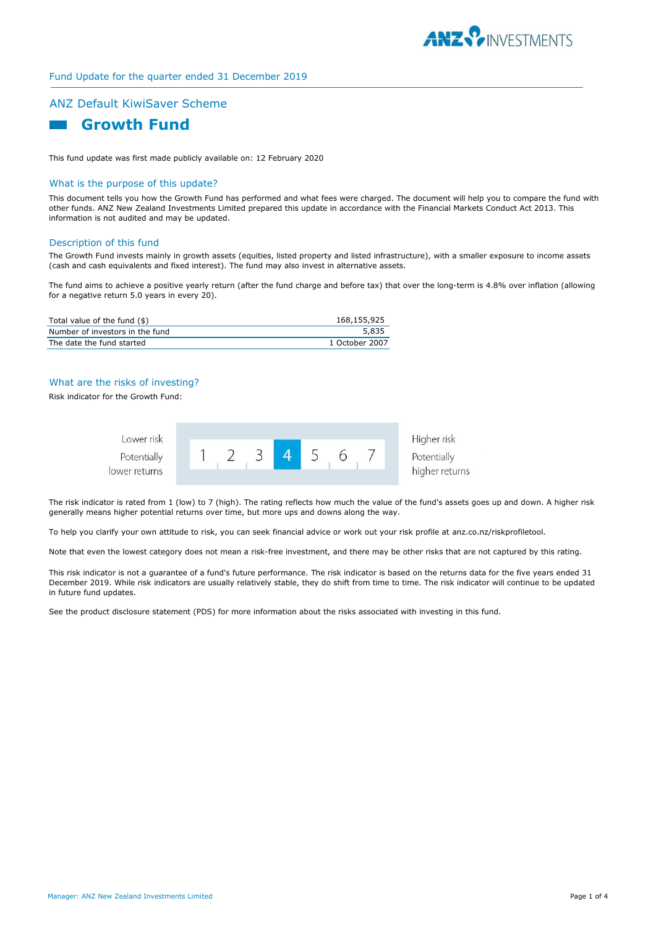

# Fund Update for the quarter ended 31 December 2019

# ANZ Default KiwiSaver Scheme



This fund update was first made publicly available on: 12 February 2020

# What is the purpose of this update?

This document tells you how the Growth Fund has performed and what fees were charged. The document will help you to compare the fund with other funds. ANZ New Zealand Investments Limited prepared this update in accordance with the Financial Markets Conduct Act 2013. This information is not audited and may be updated.

### Description of this fund

The Growth Fund invests mainly in growth assets (equities, listed property and listed infrastructure), with a smaller exposure to income assets (cash and cash equivalents and fixed interest). The fund may also invest in alternative assets.

The fund aims to achieve a positive yearly return (after the fund charge and before tax) that over the long-term is 4.8% over inflation (allowing for a negative return 5.0 years in every 20).

| Total value of the fund (\$)    | 168,155,925    |
|---------------------------------|----------------|
| Number of investors in the fund | 5,835          |
| The date the fund started       | 1 October 2007 |

# What are the risks of investing?

Risk indicator for the Growth Fund:



Higher risk higher returns

The risk indicator is rated from 1 (low) to 7 (high). The rating reflects how much the value of the fund's assets goes up and down. A higher risk generally means higher potential returns over time, but more ups and downs along the way.

To help you clarify your own attitude to risk, you can seek financial advice or work out your risk profile at anz.co.nz/riskprofiletool.

Note that even the lowest category does not mean a risk-free investment, and there may be other risks that are not captured by this rating.

This risk indicator is not a guarantee of a fund's future performance. The risk indicator is based on the returns data for the five years ended 31 December 2019. While risk indicators are usually relatively stable, they do shift from time to time. The risk indicator will continue to be updated in future fund updates.

See the product disclosure statement (PDS) for more information about the risks associated with investing in this fund.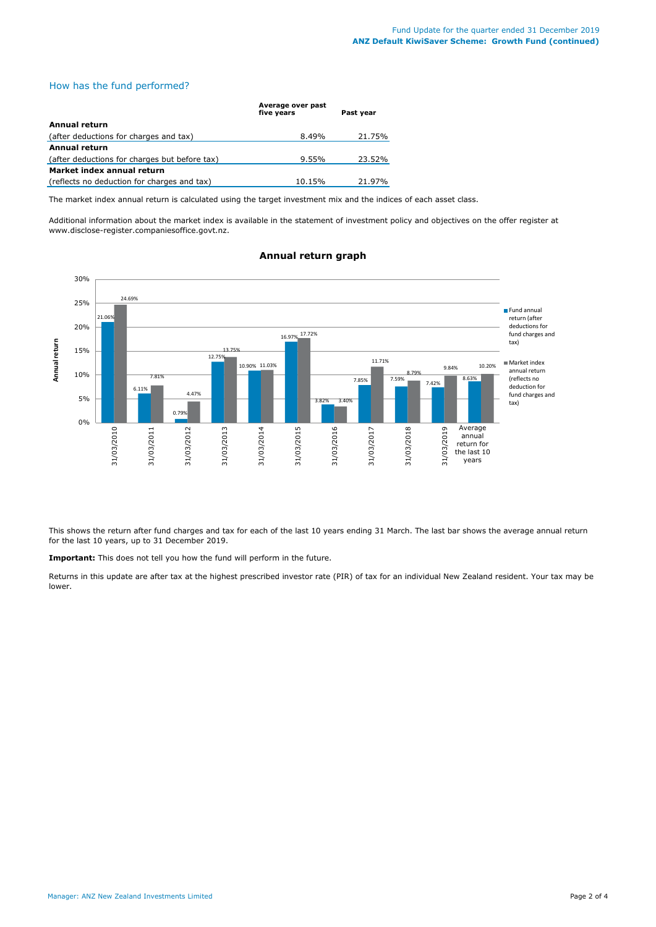# How has the fund performed?

|                                               | Average over past<br>five vears | Past vear |
|-----------------------------------------------|---------------------------------|-----------|
| <b>Annual return</b>                          |                                 |           |
| (after deductions for charges and tax)        | 8.49%                           | 21.75%    |
| <b>Annual return</b>                          |                                 |           |
| (after deductions for charges but before tax) | $9.55\%$                        | 23.52%    |
| Market index annual return                    |                                 |           |
| (reflects no deduction for charges and tax)   | 10.15%                          | 21.97%    |

The market index annual return is calculated using the target investment mix and the indices of each asset class.

Additional information about the market index is available in the statement of investment policy and objectives on the offer register at www.disclose-register.companiesoffice.govt.nz.



# **Annual return graph**

This shows the return after fund charges and tax for each of the last 10 years ending 31 March. The last bar shows the average annual return for the last 10 years, up to 31 December 2019.

**Important:** This does not tell you how the fund will perform in the future.

Returns in this update are after tax at the highest prescribed investor rate (PIR) of tax for an individual New Zealand resident. Your tax may be lower.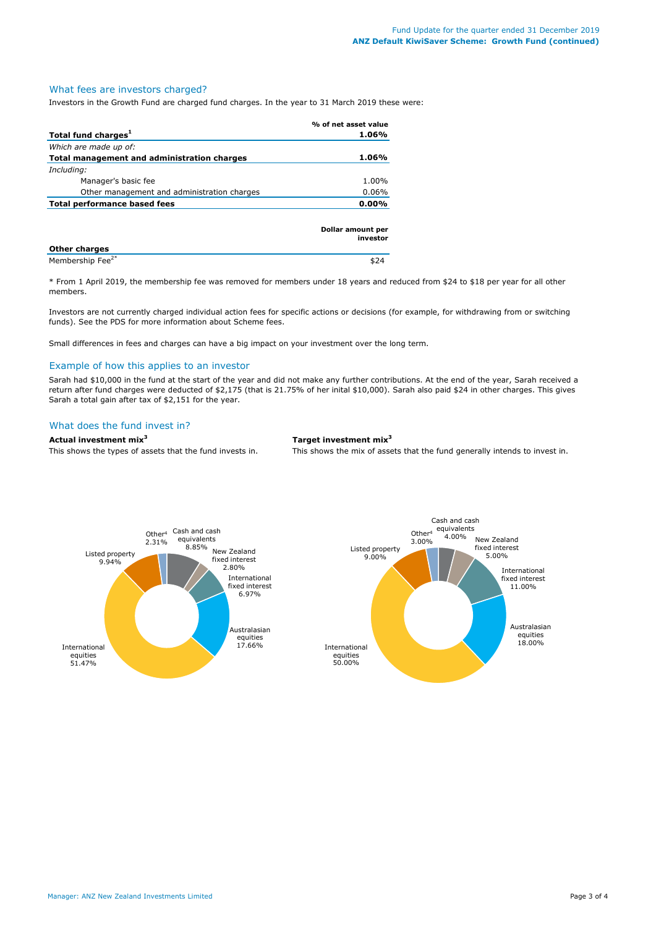### What fees are investors charged?

Investors in the Growth Fund are charged fund charges. In the year to 31 March 2019 these were:

|                                             | % of net asset value          |
|---------------------------------------------|-------------------------------|
| Total fund charges <sup>1</sup>             | 1.06%                         |
| Which are made up of:                       |                               |
| Total management and administration charges | 1.06%                         |
| Including:                                  |                               |
| Manager's basic fee                         | 1.00%                         |
| Other management and administration charges | $0.06\%$                      |
| <b>Total performance based fees</b>         |                               |
|                                             | Dollar amount per<br>investor |

| <b>Other charges</b>         |  |
|------------------------------|--|
| Membership Fee <sup>2*</sup> |  |

\* From 1 April 2019, the membership fee was removed for members under 18 years and reduced from \$24 to \$18 per year for all other members.

Investors are not currently charged individual action fees for specific actions or decisions (for example, for withdrawing from or switching funds). See the PDS for more information about Scheme fees.

Small differences in fees and charges can have a big impact on your investment over the long term.

#### Example of how this applies to an investor

Sarah had \$10,000 in the fund at the start of the year and did not make any further contributions. At the end of the year, Sarah received a return after fund charges were deducted of \$2,175 (that is 21.75% of her inital \$10,000). Sarah also paid \$24 in other charges. This gives Sarah a total gain after tax of \$2,151 for the year.

# What does the fund invest in?

**Actual investment mix<sup>3</sup> Target investment mix<sup>3</sup>**

This shows the types of assets that the fund invests in. This shows the mix of assets that the fund generally intends to invest in.